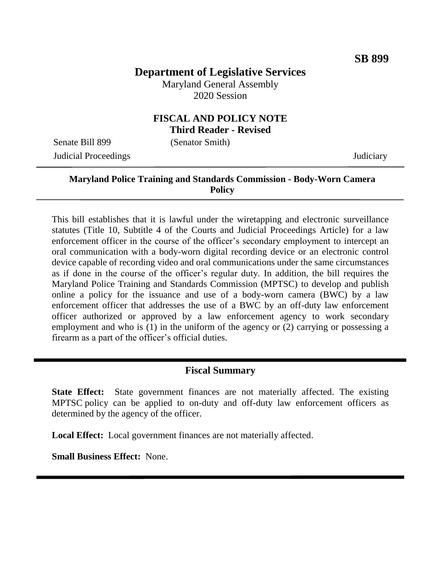# **Department of Legislative Services**

Maryland General Assembly 2020 Session

#### **FISCAL AND POLICY NOTE Third Reader - Revised**

Senate Bill 899 (Senator Smith) Judicial Proceedings Judiciary

### **Maryland Police Training and Standards Commission - Body-Worn Camera Policy**

This bill establishes that it is lawful under the wiretapping and electronic surveillance statutes (Title 10, Subtitle 4 of the Courts and Judicial Proceedings Article) for a law enforcement officer in the course of the officer's secondary employment to intercept an oral communication with a body-worn digital recording device or an electronic control device capable of recording video and oral communications under the same circumstances as if done in the course of the officer's regular duty. In addition, the bill requires the Maryland Police Training and Standards Commission (MPTSC) to develop and publish online a policy for the issuance and use of a body-worn camera (BWC) by a law enforcement officer that addresses the use of a BWC by an off-duty law enforcement officer authorized or approved by a law enforcement agency to work secondary employment and who is (1) in the uniform of the agency or (2) carrying or possessing a firearm as a part of the officer's official duties.

#### **Fiscal Summary**

**State Effect:** State government finances are not materially affected. The existing MPTSC policy can be applied to on-duty and off-duty law enforcement officers as determined by the agency of the officer.

**Local Effect:** Local government finances are not materially affected.

**Small Business Effect:** None.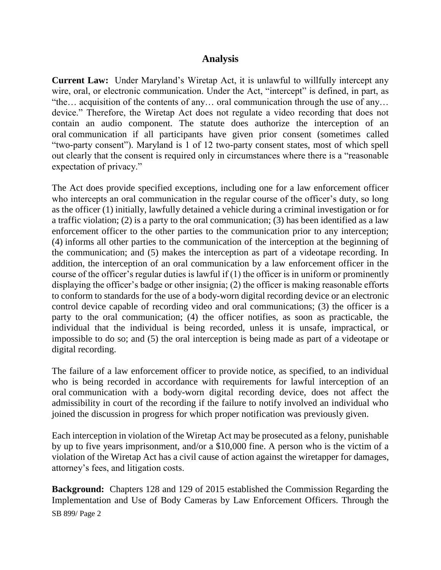#### **Analysis**

**Current Law:** Under Maryland's Wiretap Act, it is unlawful to willfully intercept any wire, oral, or electronic communication. Under the Act, "intercept" is defined, in part, as "the… acquisition of the contents of any… oral communication through the use of any… device." Therefore, the Wiretap Act does not regulate a video recording that does not contain an audio component. The statute does authorize the interception of an oral communication if all participants have given prior consent (sometimes called "two-party consent"). Maryland is 1 of 12 two-party consent states, most of which spell out clearly that the consent is required only in circumstances where there is a "reasonable expectation of privacy."

The Act does provide specified exceptions, including one for a law enforcement officer who intercepts an oral communication in the regular course of the officer's duty, so long as the officer (1) initially, lawfully detained a vehicle during a criminal investigation or for a traffic violation; (2) is a party to the oral communication; (3) has been identified as a law enforcement officer to the other parties to the communication prior to any interception; (4) informs all other parties to the communication of the interception at the beginning of the communication; and (5) makes the interception as part of a videotape recording. In addition, the interception of an oral communication by a law enforcement officer in the course of the officer's regular duties is lawful if  $(1)$  the officer is in uniform or prominently displaying the officer's badge or other insignia; (2) the officer is making reasonable efforts to conform to standards for the use of a body-worn digital recording device or an electronic control device capable of recording video and oral communications; (3) the officer is a party to the oral communication; (4) the officer notifies, as soon as practicable, the individual that the individual is being recorded, unless it is unsafe, impractical, or impossible to do so; and (5) the oral interception is being made as part of a videotape or digital recording.

The failure of a law enforcement officer to provide notice, as specified, to an individual who is being recorded in accordance with requirements for lawful interception of an oral communication with a body-worn digital recording device, does not affect the admissibility in court of the recording if the failure to notify involved an individual who joined the discussion in progress for which proper notification was previously given.

Each interception in violation of the Wiretap Act may be prosecuted as a felony, punishable by up to five years imprisonment, and/or a \$10,000 fine. A person who is the victim of a violation of the Wiretap Act has a civil cause of action against the wiretapper for damages, attorney's fees, and litigation costs.

SB 899/ Page 2 **Background:** Chapters 128 and 129 of 2015 established the Commission Regarding the Implementation and Use of Body Cameras by Law Enforcement Officers. Through the